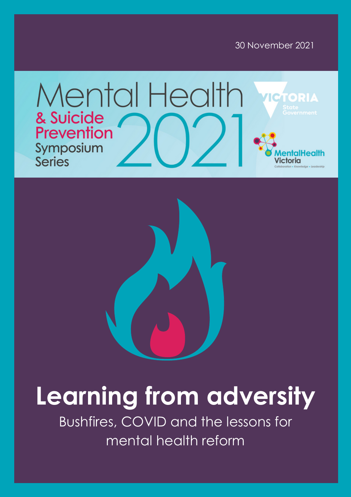





# **Learning from adversity**

Bushfires, COVID and the lessons for mental health reform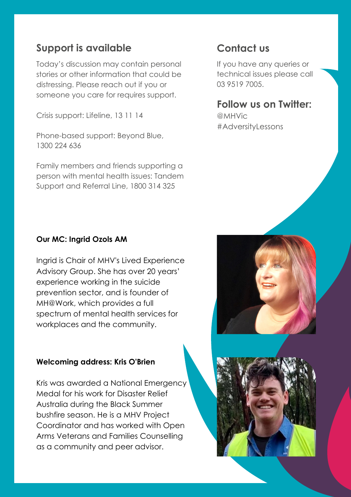## **Support is available**

Today's discussion may contain personal stories or other information that could be distressing. Please reach out if you or someone you care for requires support.

Crisis support: Lifeline, 13 11 14

Phone-based support: Beyond Blue, 1300 224 636

Family members and friends supporting a person with mental health issues: Tandem Support and Referral Line, 1800 314 325

### **Contact us**

If you have any queries or technical issues please call 03 9519 7005.

### **Follow us on Twitter:**

@MHVic #AdversityLessons

#### **Our MC: Ingrid Ozols AM**

Ingrid is Chair of MHV's Lived Experience Advisory Group. She has over 20 years' experience working in the suicide prevention sector, and is founder of MH@Work, which provides a full spectrum of mental health services for workplaces and the community.

#### **Welcoming address: Kris O'Brien**

Kris was awarded a National Emergency Medal for his work for Disaster Relief Australia during the Black Summer bushfire season. He is a MHV Project Coordinator and has worked with Open Arms Veterans and Families Counselling as a community and peer advisor.



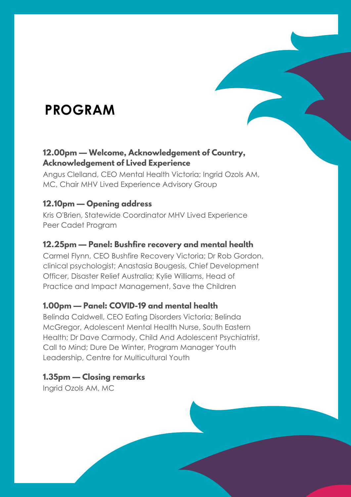# **PROGRAM**

#### **12.00pm — Welcome, Acknowledgement of Country, Acknowledgement of Lived Experience**

Angus Clelland, CEO Mental Health Victoria; Ingrid Ozols AM, MC, Chair MHV Lived Experience Advisory Group

#### **12.10pm — Opening address**

Kris O'Brien, Statewide Coordinator MHV Lived Experience Peer Cadet Program

#### **12.25pm — Panel: Bushfire recovery and mental health**

Carmel Flynn, CEO Bushfire Recovery Victoria; Dr Rob Gordon, clinical psychologist; Anastasia Bougesis, Chief Development Officer, Disaster Relief Australia; Kylie Williams, Head of Practice and Impact Management, Save the Children

#### **1.00pm — Panel: COVID-19 and mental health**

Belinda Caldwell, CEO Eating Disorders Victoria; Belinda McGregor, Adolescent Mental Health Nurse, South Eastern Health; Dr Dave Carmody, Child And Adolescent Psychiatrist, Call to Mind; Dure De Winter, Program Manager Youth Leadership, Centre for Multicultural Youth

#### **1.35pm — Closing remarks**

Ingrid Ozols AM, MC